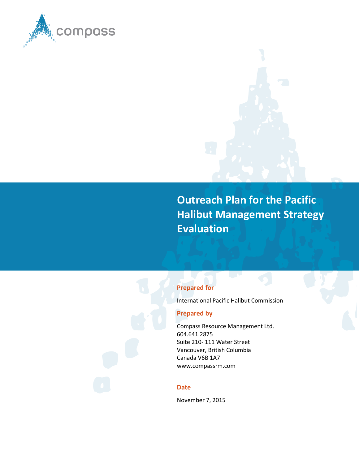

**Outreach Plan for the Pacific Halibut Management Strategy Evaluation**

### **Prepared for**

International Pacific Halibut Commission

### **Prepared by**

Compass Resource Management Ltd. 604.641.2875 Suite 210- 111 Water Street Vancouver, British Columbia Canada V6B 1A7 www.compassrm.com

#### **Date**

November 7, 2015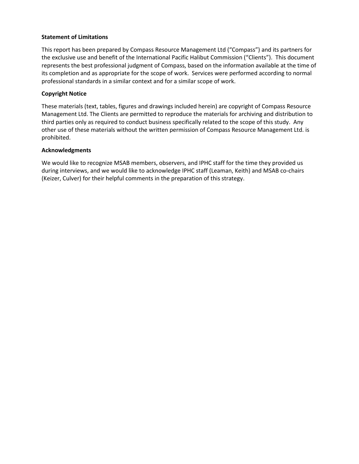#### **Statement of Limitations**

This report has been prepared by Compass Resource Management Ltd ("Compass") and its partners for the exclusive use and benefit of the International Pacific Halibut Commission ("Clients"). This document represents the best professional judgment of Compass, based on the information available at the time of its completion and as appropriate for the scope of work. Services were performed according to normal professional standards in a similar context and for a similar scope of work.

#### **Copyright Notice**

These materials (text, tables, figures and drawings included herein) are copyright of Compass Resource Management Ltd. The Clients are permitted to reproduce the materials for archiving and distribution to third parties only as required to conduct business specifically related to the scope of this study. Any other use of these materials without the written permission of Compass Resource Management Ltd. is prohibited.

#### **Acknowledgments**

We would like to recognize MSAB members, observers, and IPHC staff for the time they provided us during interviews, and we would like to acknowledge IPHC staff (Leaman, Keith) and MSAB co-chairs (Keizer, Culver) for their helpful comments in the preparation of this strategy.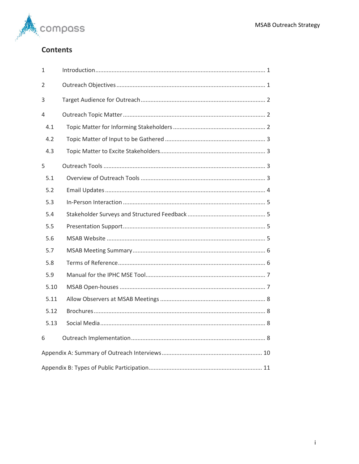

# **Contents**

| $\mathbf{1}$ |  |  |  |  |  |
|--------------|--|--|--|--|--|
| 2            |  |  |  |  |  |
| 3            |  |  |  |  |  |
| 4            |  |  |  |  |  |
| 4.1          |  |  |  |  |  |
| 4.2          |  |  |  |  |  |
| 4.3          |  |  |  |  |  |
| 5            |  |  |  |  |  |
| 5.1          |  |  |  |  |  |
| 5.2          |  |  |  |  |  |
| 5.3          |  |  |  |  |  |
| 5.4          |  |  |  |  |  |
| 5.5          |  |  |  |  |  |
| 5.6          |  |  |  |  |  |
| 5.7          |  |  |  |  |  |
| 5.8          |  |  |  |  |  |
| 5.9          |  |  |  |  |  |
| 5.10         |  |  |  |  |  |
| 5.11         |  |  |  |  |  |
| 5.12         |  |  |  |  |  |
| 5.13         |  |  |  |  |  |
| 6            |  |  |  |  |  |
|              |  |  |  |  |  |
|              |  |  |  |  |  |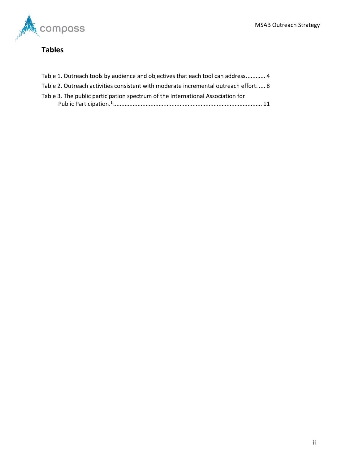

# **Tables**

| Table 1. Outreach tools by audience and objectives that each tool can address 4       |  |
|---------------------------------------------------------------------------------------|--|
| Table 2. Outreach activities consistent with moderate incremental outreach effort.  8 |  |
| Table 3. The public participation spectrum of the International Association for       |  |
|                                                                                       |  |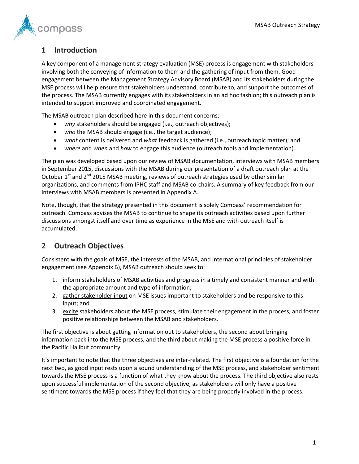

## <span id="page-4-0"></span>**1 Introduction**

A key component of a management strategy evaluation (MSE) process is engagement with stakeholders involving both the conveying of information to them and the gathering of input from them. Good engagement between the Management Strategy Advisory Board (MSAB) and its stakeholders during the MSE process will help ensure that stakeholders understand, contribute to, and support the outcomes of the process. The MSAB currently engages with its stakeholders in an ad hoc fashion; this outreach plan is intended to support improved and coordinated engagement.

The MSAB outreach plan described here in this document concerns:

- *why* stakeholders should be engaged (i.e., outreach objectives);
- *who* the MSAB should engage (i.e., the target audience);
- *what* content is delivered and *what* feedback is gathered (i.e., outreach topic matter); and
- *where* and *when* and *how* to engage this audience (outreach tools and implementation).

The plan was developed based upon our review of MSAB documentation, interviews with MSAB members in September 2015, discussions with the MSAB during our presentation of a draft outreach plan at the October  $1<sup>st</sup>$  and  $2<sup>nd</sup>$  2015 MSAB meeting, reviews of outreach strategies used by other similar organizations, and comments from IPHC staff and MSAB co-chairs. A summary of key feedback from our interviews with MSAB members is presented in Appendix A.

Note, though, that the strategy presented in this document is solely Compass' recommendation for outreach. Compass advises the MSAB to continue to shape its outreach activities based upon further discussions amongst itself and over time as experience in the MSE and with outreach itself is accumulated.

# <span id="page-4-1"></span>**2 Outreach Objectives**

Consistent with the goals of MSE, the interests of the MSAB, and international principles of stakeholder engagement (see Appendix B), MSAB outreach should seek to:

- 1. inform stakeholders of MSAB activities and progress in a timely and consistent manner and with the appropriate amount and type of information;
- 2. gather stakeholder input on MSE issues important to stakeholders and be responsive to this input; and
- 3. excite stakeholders about the MSE process, stimulate their engagement in the process, and foster positive relationships between the MSAB and stakeholders.

The first objective is about getting information out to stakeholders, the second about bringing information back into the MSE process, and the third about making the MSE process a positive force in the Pacific Halibut community.

It's important to note that the three objectives are inter-related. The first objective is a foundation for the next two, as good input rests upon a sound understanding of the MSE process, and stakeholder sentiment towards the MSE process is a function of what they know about the process. The third objective also rests upon successful implementation of the second objective, as stakeholders will only have a positive sentiment towards the MSE process if they feel that they are being properly involved in the process.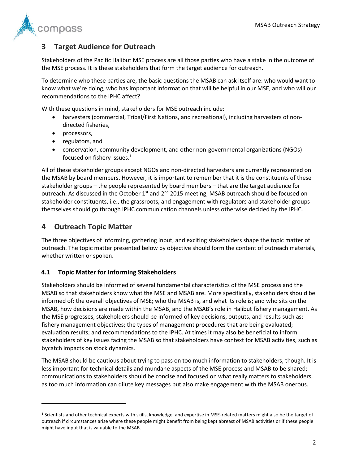

# <span id="page-5-0"></span>**3 Target Audience for Outreach**

Stakeholders of the Pacific Halibut MSE process are all those parties who have a stake in the outcome of the MSE process. It is these stakeholders that form the target audience for outreach.

To determine who these parties are, the basic questions the MSAB can ask itself are: who would want to know what we're doing, who has important information that will be helpful in our MSE, and who will our recommendations to the IPHC affect?

With these questions in mind, stakeholders for MSE outreach include:

- harvesters (commercial, Tribal/First Nations, and recreational), including harvesters of nondirected fisheries,
- processors,
- regulators, and
- conservation, community development, and other non-governmental organizations (NGOs) focused on fishery issues.<sup>1</sup>

All of these stakeholder groups except NGOs and non-directed harvesters are currently represented on the MSAB by board members. However, it is important to remember that it is the constituents of these stakeholder groups – the people represented by board members – that are the target audience for outreach. As discussed in the October  $1<sup>st</sup>$  and  $2<sup>nd</sup>$  2015 meeting, MSAB outreach should be focused on stakeholder constituents, i.e., the grassroots, and engagement with regulators and stakeholder groups themselves should go through IPHC communication channels unless otherwise decided by the IPHC.

### <span id="page-5-1"></span>**4 Outreach Topic Matter**

 $\overline{\phantom{a}}$ 

The three objectives of informing, gathering input, and exciting stakeholders shape the topic matter of outreach. The topic matter presented below by objective should form the content of outreach materials, whether written or spoken.

### <span id="page-5-2"></span>**4.1 Topic Matter for Informing Stakeholders**

Stakeholders should be informed of several fundamental characteristics of the MSE process and the MSAB so that stakeholders know what the MSE and MSAB are. More specifically, stakeholders should be informed of: the overall objectives of MSE; who the MSAB is, and what its role is; and who sits on the MSAB, how decisions are made within the MSAB, and the MSAB's role in Halibut fishery management. As the MSE progresses, stakeholders should be informed of key decisions, outputs, and results such as: fishery management objectives; the types of management procedures that are being evaluated; evaluation results; and recommendations to the IPHC. At times it may also be beneficial to inform stakeholders of key issues facing the MSAB so that stakeholders have context for MSAB activities, such as bycatch impacts on stock dynamics.

The MSAB should be cautious about trying to pass on too much information to stakeholders, though. It is less important for technical details and mundane aspects of the MSE process and MSAB to be shared; communications to stakeholders should be concise and focused on what really matters to stakeholders, as too much information can dilute key messages but also make engagement with the MSAB onerous.

<sup>1</sup> Scientists and other technical experts with skills, knowledge, and expertise in MSE-related matters might also be the target of outreach if circumstances arise where these people might benefit from being kept abreast of MSAB activities or if these people might have input that is valuable to the MSAB.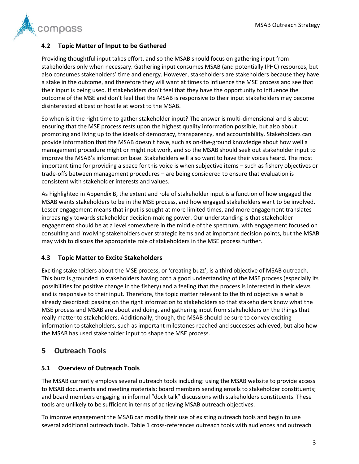

### <span id="page-6-0"></span>**4.2 Topic Matter of Input to be Gathered**

Providing thoughtful input takes effort, and so the MSAB should focus on gathering input from stakeholders only when necessary. Gathering input consumes MSAB (and potentially IPHC) resources, but also consumes stakeholders' time and energy. However, stakeholders are stakeholders because they have a stake in the outcome, and therefore they will want at times to influence the MSE process and see that their input is being used. If stakeholders don't feel that they have the opportunity to influence the outcome of the MSE and don't feel that the MSAB is responsive to their input stakeholders may become disinterested at best or hostile at worst to the MSAB.

So when is it the right time to gather stakeholder input? The answer is multi-dimensional and is about ensuring that the MSE process rests upon the highest quality information possible, but also about promoting and living up to the ideals of democracy, transparency, and accountability. Stakeholders can provide information that the MSAB doesn't have, such as on-the-ground knowledge about how well a management procedure might or might not work, and so the MSAB should seek out stakeholder input to improve the MSAB's information base. Stakeholders will also want to have their voices heard. The most important time for providing a space for this voice is when subjective items – such as fishery objectives or trade-offs between management procedures – are being considered to ensure that evaluation is consistent with stakeholder interests and values.

As highlighted in Appendix B, the extent and role of stakeholder input is a function of how engaged the MSAB wants stakeholders to be in the MSE process, and how engaged stakeholders want to be involved. Lesser engagement means that input is sought at more limited times, and more engagement translates increasingly towards stakeholder decision-making power. Our understanding is that stakeholder engagement should be at a level somewhere in the middle of the spectrum, with engagement focused on consulting and involving stakeholders over strategic items and at important decision points, but the MSAB may wish to discuss the appropriate role of stakeholders in the MSE process further.

### <span id="page-6-1"></span>**4.3 Topic Matter to Excite Stakeholders**

Exciting stakeholders about the MSE process, or 'creating buzz', is a third objective of MSAB outreach. This buzz is grounded in stakeholders having both a good understanding of the MSE process (especially its possibilities for positive change in the fishery) and a feeling that the process is interested in their views and is responsive to their input. Therefore, the topic matter relevant to the third objective is what is already described: passing on the right information to stakeholders so that stakeholders know what the MSE process and MSAB are about and doing, and gathering input from stakeholders on the things that really matter to stakeholders. Additionally, though, the MSAB should be sure to convey exciting information to stakeholders, such as important milestones reached and successes achieved, but also how the MSAB has used stakeholder input to shape the MSE process.

### <span id="page-6-2"></span>**5 Outreach Tools**

### <span id="page-6-3"></span>**5.1 Overview of Outreach Tools**

The MSAB currently employs several outreach tools including: using the MSAB website to provide access to MSAB documents and meeting materials; board members sending emails to stakeholder constituents; and board members engaging in informal "dock talk" discussions with stakeholders constituents. These tools are unlikely to be sufficient in terms of achieving MSAB outreach objectives.

To improve engagement the MSAB can modify their use of existing outreach tools and begin to use several additional outreach tools. [Table 1](#page-7-1) cross-references outreach tools with audiences and outreach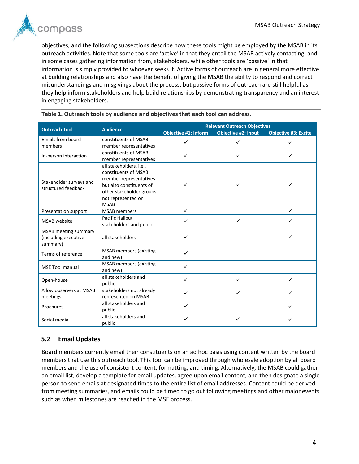

objectives, and the following subsections describe how these tools might be employed by the MSAB in its outreach activities. Note that some tools are 'active' in that they entail the MSAB actively contacting, and in some cases gathering information from, stakeholders, while other tools are 'passive' in that information is simply provided to whoever seeks it. Active forms of outreach are in general more effective at building relationships and also have the benefit of giving the MSAB the ability to respond and correct misunderstandings and misgivings about the process, but passive forms of outreach are still helpful as they help inform stakeholders and help build relationships by demonstrating transparency and an interest in engaging stakeholders.

| <b>Outreach Tool</b>    | <b>Audience</b>               | <b>Relevant Outreach Objectives</b> |                            |                             |  |  |
|-------------------------|-------------------------------|-------------------------------------|----------------------------|-----------------------------|--|--|
|                         |                               | Objective #1: Inform                | <b>Objective #2: Input</b> | <b>Objective #3: Excite</b> |  |  |
| Emails from board       | constituents of MSAB          | ✓                                   |                            |                             |  |  |
| members                 | member representatives        |                                     |                            |                             |  |  |
| In-person interaction   | constituents of MSAB          | ✓                                   | ✓                          | ✓                           |  |  |
|                         | member representatives        |                                     |                            |                             |  |  |
|                         | all stakeholders, i.e.,       |                                     |                            |                             |  |  |
|                         | constituents of MSAB          |                                     |                            |                             |  |  |
| Stakeholder surveys and | member representatives        |                                     |                            |                             |  |  |
| structured feedback     | but also constituents of      | ✓                                   |                            | ✓                           |  |  |
|                         | other stakeholder groups      |                                     |                            |                             |  |  |
|                         | not represented on            |                                     |                            |                             |  |  |
|                         | <b>MSAB</b>                   |                                     |                            |                             |  |  |
| Presentation support    | <b>MSAB</b> members           | ✓                                   |                            | ✓                           |  |  |
| MSAB website            | Pacific Halibut               | ✓                                   | $\checkmark$               | ✓                           |  |  |
|                         | stakeholders and public       |                                     |                            |                             |  |  |
| MSAB meeting summary    |                               |                                     |                            |                             |  |  |
| (including executive    | all stakeholders              | ✓                                   |                            | ✓                           |  |  |
| summary)                |                               |                                     |                            |                             |  |  |
| Terms of reference      | <b>MSAB</b> members (existing | ✓                                   |                            |                             |  |  |
|                         | and new)                      |                                     |                            |                             |  |  |
| <b>MSE Tool manual</b>  | <b>MSAB</b> members (existing | ✓                                   |                            |                             |  |  |
|                         | and new)                      |                                     |                            |                             |  |  |
| Open-house              | all stakeholders and          | ✓                                   | ✓                          | ✓                           |  |  |
|                         | public                        |                                     |                            |                             |  |  |
| Allow observers at MSAB | stakeholders not already      | ✓                                   | ✓                          | $\checkmark$                |  |  |
| meetings                | represented on MSAB           |                                     |                            |                             |  |  |
| <b>Brochures</b>        | all stakeholders and          | ✓                                   |                            | ✓                           |  |  |
|                         | public                        |                                     |                            |                             |  |  |
| Social media            | all stakeholders and          | ✓                                   | ✓                          | ✓                           |  |  |
|                         | public                        |                                     |                            |                             |  |  |

<span id="page-7-1"></span>**Table 1. Outreach tools by audience and objectives that each tool can address.**

### <span id="page-7-0"></span>**5.2 Email Updates**

Board members currently email their constituents on an ad hoc basis using content written by the board members that use this outreach tool. This tool can be improved through wholesale adoption by all board members and the use of consistent content, formatting, and timing. Alternatively, the MSAB could gather an email list, develop a template for email updates, agree upon email content, and then designate a single person to send emails at designated times to the entire list of email addresses. Content could be derived from meeting summaries, and emails could be timed to go out following meetings and other major events such as when milestones are reached in the MSE process.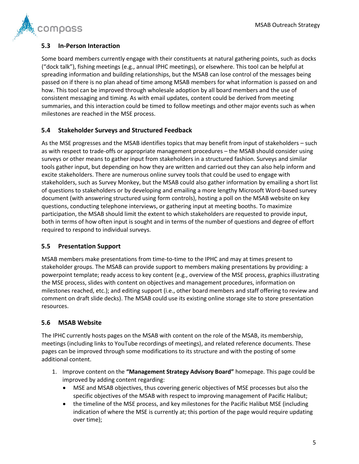

### <span id="page-8-0"></span>**5.3 In-Person Interaction**

Some board members currently engage with their constituents at natural gathering points, such as docks ("dock talk"), fishing meetings (e.g., annual IPHC meetings), or elsewhere. This tool can be helpful at spreading information and building relationships, but the MSAB can lose control of the messages being passed on if there is no plan ahead of time among MSAB members for what information is passed on and how. This tool can be improved through wholesale adoption by all board members and the use of consistent messaging and timing. As with email updates, content could be derived from meeting summaries, and this interaction could be timed to follow meetings and other major events such as when milestones are reached in the MSE process.

### <span id="page-8-1"></span>**5.4 Stakeholder Surveys and Structured Feedback**

As the MSE progresses and the MSAB identifies topics that may benefit from input of stakeholders – such as with respect to trade-offs or appropriate management procedures – the MSAB should consider using surveys or other means to gather input from stakeholders in a structured fashion. Surveys and similar tools gather input, but depending on how they are written and carried out they can also help inform and excite stakeholders. There are numerous online survey tools that could be used to engage with stakeholders, such as Survey Monkey, but the MSAB could also gather information by emailing a short list of questions to stakeholders or by developing and emailing a more lengthy Microsoft Word-based survey document (with answering structured using form controls), hosting a poll on the MSAB website on key questions, conducting telephone interviews, or gathering input at meeting booths. To maximize participation, the MSAB should limit the extent to which stakeholders are requested to provide input, both in terms of how often input is sought and in terms of the number of questions and degree of effort required to respond to individual surveys.

### <span id="page-8-2"></span>**5.5 Presentation Support**

MSAB members make presentations from time-to-time to the IPHC and may at times present to stakeholder groups. The MSAB can provide support to members making presentations by providing: a powerpoint template; ready access to key content (e.g., overview of the MSE process, graphics illustrating the MSE process, slides with content on objectives and management procedures, information on milestones reached, etc.); and editing support (i.e., other board members and staff offering to review and comment on draft slide decks). The MSAB could use its existing online storage site to store presentation resources.

### <span id="page-8-3"></span>**5.6 MSAB Website**

The IPHC currently hosts pages on the MSAB with content on the role of the MSAB, its membership, meetings (including links to YouTube recordings of meetings), and related reference documents. These pages can be improved through some modifications to its structure and with the posting of some additional content.

- 1. Improve content on the **"Management Strategy Advisory Board"** homepage. This page could be improved by adding content regarding:
	- MSE and MSAB objectives, thus covering generic objectives of MSE processes but also the specific objectives of the MSAB with respect to improving management of Pacific Halibut;
	- the timeline of the MSE process, and key milestones for the Pacific Halibut MSE (including indication of where the MSE is currently at; this portion of the page would require updating over time);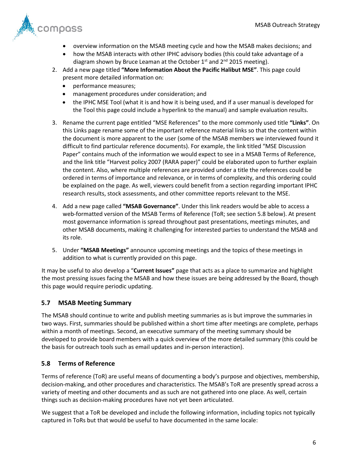

- overview information on the MSAB meeting cycle and how the MSAB makes decisions; and
- how the MSAB interacts with other IPHC advisory bodies (this could take advantage of a diagram shown by Bruce Leaman at the October 1<sup>st</sup> and 2<sup>nd</sup> 2015 meeting).
- 2. Add a new page titled **"More Information About the Pacific Halibut MSE"**. This page could present more detailed information on:
	- performance measures;
	- management procedures under consideration; and
	- the IPHC MSE Tool (what it is and how it is being used, and if a user manual is developed for the Tool this page could include a hyperlink to the manual) and sample evaluation results.
- 3. Rename the current page entitled "MSE References" to the more commonly used title **"Links"**. On this Links page rename some of the important reference material links so that the content within the document is more apparent to the user (some of the MSAB members we interviewed found it difficult to find particular reference documents). For example, the link titled "MSE Discussion Paper" contains much of the information we would expect to see in a MSAB Terms of Reference, and the link title "Harvest policy 2007 (RARA paper)" could be elaborated upon to further explain the content. Also, where multiple references are provided under a title the references could be ordered in terms of importance and relevance, or in terms of complexity, and this ordering could be explained on the page. As well, viewers could benefit from a section regarding important IPHC research results, stock assessments, and other committee reports relevant to the MSE.
- 4. Add a new page called **"MSAB Governance"**. Under this link readers would be able to access a web-formatted version of the MSAB Terms of Reference (ToR; see section [5.8](#page-9-1) below). At present most governance information is spread throughout past presentations, meetings minutes, and other MSAB documents, making it challenging for interested parties to understand the MSAB and its role.
- 5. Under **"MSAB Meetings"** announce upcoming meetings and the topics of these meetings in addition to what is currently provided on this page.

It may be useful to also develop a "**Current Issues"** page that acts as a place to summarize and highlight the most pressing issues facing the MSAB and how these issues are being addressed by the Board, though this page would require periodic updating.

### <span id="page-9-0"></span>**5.7 MSAB Meeting Summary**

The MSAB should continue to write and publish meeting summaries as is but improve the summaries in two ways. First, summaries should be published within a short time after meetings are complete, perhaps within a month of meetings. Second, an executive summary of the meeting summary should be developed to provide board members with a quick overview of the more detailed summary (this could be the basis for outreach tools such as email updates and in-person interaction).

#### <span id="page-9-1"></span>**5.8 Terms of Reference**

Terms of reference (ToR) are useful means of documenting a body's purpose and objectives, membership, decision-making, and other procedures and characteristics. The MSAB's ToR are presently spread across a variety of meeting and other documents and as such are not gathered into one place. As well, certain things such as decision-making procedures have not yet been articulated.

We suggest that a ToR be developed and include the following information, including topics not typically captured in ToRs but that would be useful to have documented in the same locale: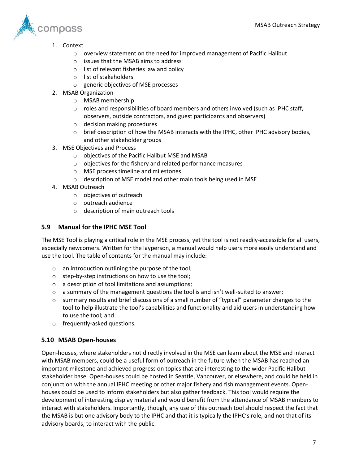

- 1. Context
	- $\circ$  overview statement on the need for improved management of Pacific Halibut
	- o issues that the MSAB aims to address
	- o list of relevant fisheries law and policy
	- o list of stakeholders
	- o generic objectives of MSE processes
- 2. MSAB Organization
	- o MSAB membership
	- $\circ$  roles and responsibilities of board members and others involved (such as IPHC staff, observers, outside contractors, and guest participants and observers)
	- o decision making procedures
	- $\circ$  brief description of how the MSAB interacts with the IPHC, other IPHC advisory bodies, and other stakeholder groups
- 3. MSE Objectives and Process
	- o objectives of the Pacific Halibut MSE and MSAB
	- o objectives for the fishery and related performance measures
	- o MSE process timeline and milestones
	- o description of MSE model and other main tools being used in MSE
- 4. MSAB Outreach
	- o objectives of outreach
	- o outreach audience
	- o description of main outreach tools

### <span id="page-10-0"></span>**5.9 Manual for the IPHC MSE Tool**

The MSE Tool is playing a critical role in the MSE process, yet the tool is not readily-accessible for all users, especially newcomers. Written for the layperson, a manual would help users more easily understand and use the tool. The table of contents for the manual may include:

- o an introduction outlining the purpose of the tool;
- o step-by-step instructions on how to use the tool;
- o a description of tool limitations and assumptions;
- $\circ$  a summary of the management questions the tool is and isn't well-suited to answer;
- $\circ$  summary results and brief discussions of a small number of "typical" parameter changes to the tool to help illustrate the tool's capabilities and functionality and aid users in understanding how to use the tool; and
- o frequently-asked questions.

### <span id="page-10-1"></span>**5.10 MSAB Open-houses**

Open-houses, where stakeholders not directly involved in the MSE can learn about the MSE and interact with MSAB members, could be a useful form of outreach in the future when the MSAB has reached an important milestone and achieved progress on topics that are interesting to the wider Pacific Halibut stakeholder base. Open-houses could be hosted in Seattle, Vancouver, or elsewhere, and could be held in conjunction with the annual IPHC meeting or other major fishery and fish management events. Openhouses could be used to inform stakeholders but also gather feedback. This tool would require the development of interesting display material and would benefit from the attendance of MSAB members to interact with stakeholders. Importantly, though, any use of this outreach tool should respect the fact that the MSAB is but one advisory body to the IPHC and that it is typically the IPHC's role, and not that of its advisory boards, to interact with the public.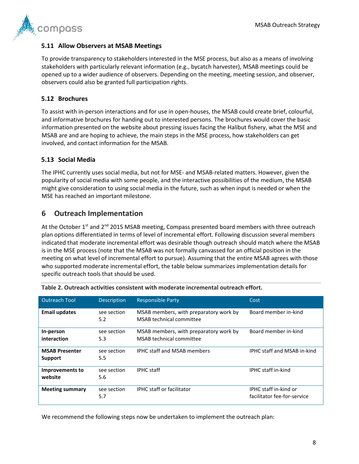

#### <span id="page-11-0"></span>**5.11 Allow Observers at MSAB Meetings**

To provide transparency to stakeholders interested in the MSE process, but also as a means of involving stakeholders with particularly relevant information (e.g., bycatch harvester), MSAB meetings could be opened up to a wider audience of observers. Depending on the meeting, meeting session, and observer, observers could also be granted full participation rights.

#### <span id="page-11-1"></span>**5.12 Brochures**

To assist with in-person interactions and for use in open-houses, the MSAB could create brief, colourful, and informative brochures for handing out to interested persons. The brochures would cover the basic information presented on the website about pressing issues facing the Halibut fishery, what the MSE and MSAB are and are hoping to achieve, the main steps in the MSE process, how stakeholders can get involved, and contact information for the MSAB.

#### <span id="page-11-2"></span>**5.13 Social Media**

The IPHC currently uses social media, but not for MSE- and MSAB-related matters. However, given the popularity of social media with some people, and the interactive possibilities of the medium, the MSAB might give consideration to using social media in the future, such as when input is needed or when the MSE has reached an important milestone.

### <span id="page-11-3"></span>**6 Outreach Implementation**

At the October  $1<sup>st</sup>$  and  $2<sup>nd</sup>$  2015 MSAB meeting, Compass presented board members with three outreach plan options differentiated in terms of level of incremental effort. Following discussion several members indicated that moderate incremental effort was desirable though outreach should match where the MSAB is in the MSE process (note that the MSAB was not formally canvassed for an official position in the meeting on what level of incremental effort to pursue). Assuming that the entire MSAB agrees with those who supported moderate incremental effort, the table below summarizes implementation details for specific outreach tools that should be used.

| <b>Outreach Tool</b>              | <b>Description</b> | <b>Responsible Party</b>                                           | Cost                                                 |
|-----------------------------------|--------------------|--------------------------------------------------------------------|------------------------------------------------------|
| <b>Email updates</b>              | see section<br>5.2 | MSAB members, with preparatory work by<br>MSAB technical committee | Board member in-kind                                 |
| In-person<br>interaction          | see section<br>5.3 | MSAB members, with preparatory work by<br>MSAB technical committee | Board member in-kind                                 |
| <b>MSAB Presenter</b><br>Support  | see section<br>5.5 | <b>IPHC staff and MSAB members</b>                                 | IPHC staff and MSAB in-kind                          |
| <b>Improvements to</b><br>website | see section<br>5.6 | <b>IPHC</b> staff                                                  | <b>IPHC</b> staff in-kind                            |
| <b>Meeting summary</b>            | see section<br>5.7 | <b>IPHC</b> staff or facilitator                                   | IPHC staff in-kind or<br>facilitator fee-for-service |

<span id="page-11-4"></span>**Table 2. Outreach activities consistent with moderate incremental outreach effort.**

We recommend the following steps now be undertaken to implement the outreach plan: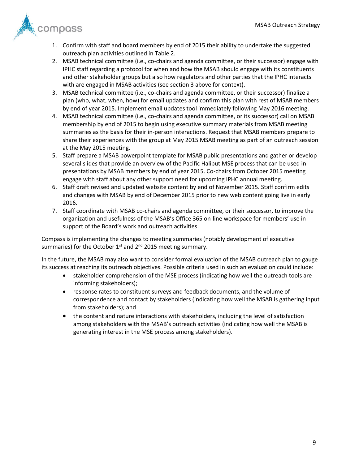

- 1. Confirm with staff and board members by end of 2015 their ability to undertake the suggested outreach plan activities outlined in [Table 2.](#page-11-4)
- 2. MSAB technical committee (i.e., co-chairs and agenda committee, or their successor) engage with IPHC staff regarding a protocol for when and how the MSAB should engage with its constituents and other stakeholder groups but also how regulators and other parties that the IPHC interacts with are engaged in MSAB activities (see section [3](#page-5-0) above for context).
- 3. MSAB technical committee (i.e., co-chairs and agenda committee, or their successor) finalize a plan (who, what, when, how) for email updates and confirm this plan with rest of MSAB members by end of year 2015. Implement email updates tool immediately following May 2016 meeting.
- 4. MSAB technical committee (i.e., co-chairs and agenda committee, or its successor) call on MSAB membership by end of 2015 to begin using executive summary materials from MSAB meeting summaries as the basis for their in-person interactions. Request that MSAB members prepare to share their experiences with the group at May 2015 MSAB meeting as part of an outreach session at the May 2015 meeting.
- 5. Staff prepare a MSAB powerpoint template for MSAB public presentations and gather or develop several slides that provide an overview of the Pacific Halibut MSE process that can be used in presentations by MSAB members by end of year 2015. Co-chairs from October 2015 meeting engage with staff about any other support need for upcoming IPHC annual meeting.
- 6. Staff draft revised and updated website content by end of November 2015. Staff confirm edits and changes with MSAB by end of December 2015 prior to new web content going live in early 2016.
- 7. Staff coordinate with MSAB co-chairs and agenda committee, or their successor, to improve the organization and usefulness of the MSAB's Office 365 on-line workspace for members' use in support of the Board's work and outreach activities.

Compass is implementing the changes to meeting summaries (notably development of executive summaries) for the October  $1<sup>st</sup>$  and  $2<sup>nd</sup>$  2015 meeting summary.

In the future, the MSAB may also want to consider formal evaluation of the MSAB outreach plan to gauge its success at reaching its outreach objectives. Possible criteria used in such an evaluation could include:

- stakeholder comprehension of the MSE process (indicating how well the outreach tools are informing stakeholders);
- response rates to constituent surveys and feedback documents, and the volume of correspondence and contact by stakeholders (indicating how well the MSAB is gathering input from stakeholders); and
- the content and nature interactions with stakeholders, including the level of satisfaction among stakeholders with the MSAB's outreach activities (indicating how well the MSAB is generating interest in the MSE process among stakeholders).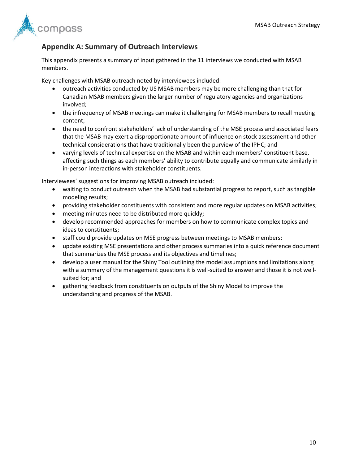

## <span id="page-13-0"></span>**Appendix A: Summary of Outreach Interviews**

This appendix presents a summary of input gathered in the 11 interviews we conducted with MSAB members.

Key challenges with MSAB outreach noted by interviewees included:

- outreach activities conducted by US MSAB members may be more challenging than that for Canadian MSAB members given the larger number of regulatory agencies and organizations involved;
- the infrequency of MSAB meetings can make it challenging for MSAB members to recall meeting content;
- the need to confront stakeholders' lack of understanding of the MSE process and associated fears that the MSAB may exert a disproportionate amount of influence on stock assessment and other technical considerations that have traditionally been the purview of the IPHC; and
- varying levels of technical expertise on the MSAB and within each members' constituent base, affecting such things as each members' ability to contribute equally and communicate similarly in in-person interactions with stakeholder constituents.

Interviewees' suggestions for improving MSAB outreach included:

- waiting to conduct outreach when the MSAB had substantial progress to report, such as tangible modeling results;
- providing stakeholder constituents with consistent and more regular updates on MSAB activities;
- meeting minutes need to be distributed more quickly;
- develop recommended approaches for members on how to communicate complex topics and ideas to constituents;
- staff could provide updates on MSE progress between meetings to MSAB members;
- update existing MSE presentations and other process summaries into a quick reference document that summarizes the MSE process and its objectives and timelines;
- develop a user manual for the Shiny Tool outlining the model assumptions and limitations along with a summary of the management questions it is well-suited to answer and those it is not wellsuited for; and
- gathering feedback from constituents on outputs of the Shiny Model to improve the understanding and progress of the MSAB.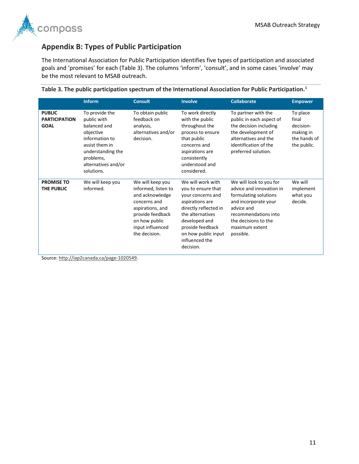

# <span id="page-14-0"></span>**Appendix B: Types of Public Participation**

The International Association for Public Participation identifies five types of participation and associated goals and 'promises' for each ([Table 3](#page-14-1)). The columns 'inform', 'consult', and in some cases 'involve' may be the most relevant to MSAB outreach.

|                                                      | <b>Inform</b>                                                                                                                                                         | <b>Consult</b>                                                                                                                                                           | <b>Involve</b>                                                                                                                                                                                                          | <b>Collaborate</b>                                                                                                                                                                                | <b>Empower</b>                                                             |
|------------------------------------------------------|-----------------------------------------------------------------------------------------------------------------------------------------------------------------------|--------------------------------------------------------------------------------------------------------------------------------------------------------------------------|-------------------------------------------------------------------------------------------------------------------------------------------------------------------------------------------------------------------------|---------------------------------------------------------------------------------------------------------------------------------------------------------------------------------------------------|----------------------------------------------------------------------------|
| <b>PUBLIC</b><br><b>PARTICIPATION</b><br><b>GOAL</b> | To provide the<br>public with<br>balanced and<br>objective<br>information to<br>assist them in<br>understanding the<br>problems,<br>alternatives and/or<br>solutions. | To obtain public<br>feedback on<br>analysis,<br>alternatives and/or<br>decision.                                                                                         | To work directly<br>with the public<br>throughout the<br>process to ensure<br>that public<br>concerns and<br>aspirations are<br>consistently<br>understood and<br>considered.                                           | To partner with the<br>public in each aspect of<br>the decision including<br>the development of<br>alternatives and the<br>identification of the<br>preferred solution.                           | To place<br>final<br>decision-<br>making in<br>the hands of<br>the public. |
| <b>PROMISE TO</b><br>THE PUBLIC                      | We will keep you<br>informed.                                                                                                                                         | We will keep you<br>informed, listen to<br>and acknowledge<br>concerns and<br>aspirations, and<br>provide feedback<br>on how public<br>input influenced<br>the decision. | We will work with<br>you to ensure that<br>your concerns and<br>aspirations are<br>directly reflected in<br>the alternatives<br>developed and<br>provide feedback<br>on how public input<br>influenced the<br>decision. | We will look to you for<br>advice and innovation in<br>formulating solutions<br>and incorporate your<br>advice and<br>recommendations into<br>the decisions to the<br>maximum extent<br>possible. | We will<br>implement<br>what you<br>decide.                                |

<span id="page-14-1"></span>

|  |  |  |  | Table 3. The public participation spectrum of the International Association for Public Participation. $^{\text{1}}$ |  |  |  |
|--|--|--|--|---------------------------------------------------------------------------------------------------------------------|--|--|--|
|--|--|--|--|---------------------------------------------------------------------------------------------------------------------|--|--|--|

Source[: http://iap2canada.ca/page-1020549.](http://iap2canada.ca/page-1020549)